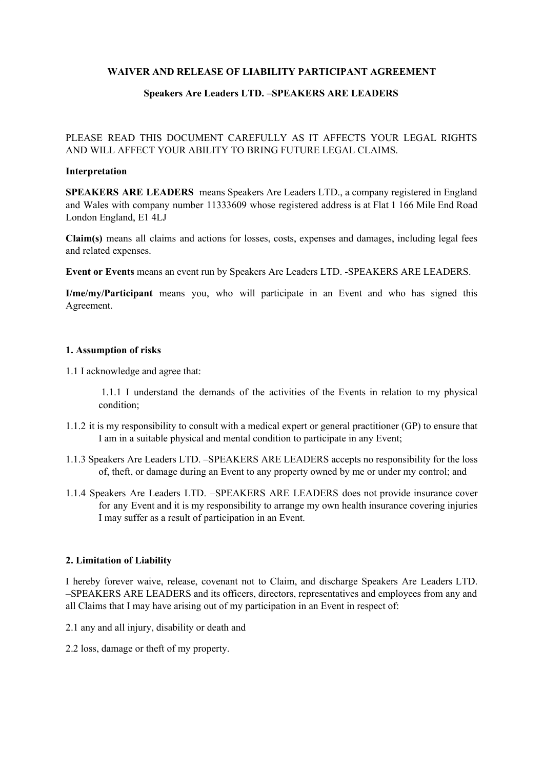## **WAIVER AND RELEASE OF LIABILITY PARTICIPANT AGREEMENT**

## **Speakers Are Leaders LTD. –SPEAKERS ARE LEADERS**

# PLEASE READ THIS DOCUMENT CAREFULLY AS IT AFFECTS YOUR LEGAL RIGHTS AND WILL AFFECT YOUR ABILITY TO BRING FUTURE LEGAL CLAIMS.

#### **Interpretation**

**SPEAKERS ARE LEADERS** means Speakers Are Leaders LTD., a company registered in England and Wales with company number 11333609 whose registered address is at Flat 1 166 Mile End Road London England, E1 4LJ

**Claim(s)** means all claims and actions for losses, costs, expenses and damages, including legal fees and related expenses.

**Event or Events** means an event run by Speakers Are Leaders LTD. -SPEAKERS ARE LEADERS.

**I/me/my/Participant** means you, who will participate in an Event and who has signed this Agreement.

### **1. Assumption of risks**

1.1 I acknowledge and agree that:

1.1.1 I understand the demands of the activities of the Events in relation to my physical condition;

- 1.1.2 it is my responsibility to consult with a medical expert or general practitioner (GP) to ensure that I am in a suitable physical and mental condition to participate in any Event;
- 1.1.3 Speakers Are Leaders LTD. –SPEAKERS ARE LEADERS accepts no responsibility for the loss of, theft, or damage during an Event to any property owned by me or under my control; and
- 1.1.4 Speakers Are Leaders LTD. –SPEAKERS ARE LEADERS does not provide insurance cover for any Event and it is my responsibility to arrange my own health insurance covering injuries I may suffer as a result of participation in an Event.

### **2. Limitation of Liability**

I hereby forever waive, release, covenant not to Claim, and discharge Speakers Are Leaders LTD. –SPEAKERS ARE LEADERS and its officers, directors, representatives and employees from any and all Claims that I may have arising out of my participation in an Event in respect of:

- 2.1 any and all injury, disability or death and
- 2.2 loss, damage or theft of my property.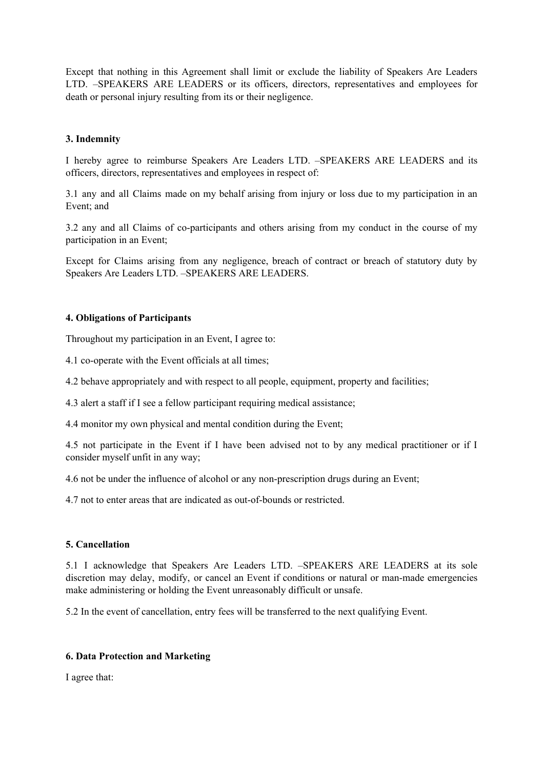Except that nothing in this Agreement shall limit or exclude the liability of Speakers Are Leaders LTD. –SPEAKERS ARE LEADERS or its officers, directors, representatives and employees for death or personal injury resulting from its or their negligence.

## **3. Indemnity**

I hereby agree to reimburse Speakers Are Leaders LTD. –SPEAKERS ARE LEADERS and its officers, directors, representatives and employees in respect of:

3.1 any and all Claims made on my behalf arising from injury or loss due to my participation in an Event; and

3.2 any and all Claims of co-participants and others arising from my conduct in the course of my participation in an Event;

Except for Claims arising from any negligence, breach of contract or breach of statutory duty by Speakers Are Leaders LTD. –SPEAKERS ARE LEADERS.

## **4. Obligations of Participants**

Throughout my participation in an Event, I agree to:

4.1 co-operate with the Event officials at all times;

4.2 behave appropriately and with respect to all people, equipment, property and facilities;

4.3 alert a staff if I see a fellow participant requiring medical assistance;

4.4 monitor my own physical and mental condition during the Event;

4.5 not participate in the Event if I have been advised not to by any medical practitioner or if I consider myself unfit in any way;

4.6 not be under the influence of alcohol or any non-prescription drugs during an Event;

4.7 not to enter areas that are indicated as out-of-bounds or restricted.

# **5. Cancellation**

5.1 I acknowledge that Speakers Are Leaders LTD. –SPEAKERS ARE LEADERS at its sole discretion may delay, modify, or cancel an Event if conditions or natural or man-made emergencies make administering or holding the Event unreasonably difficult or unsafe.

5.2 In the event of cancellation, entry fees will be transferred to the next qualifying Event.

### **6. Data Protection and Marketing**

I agree that: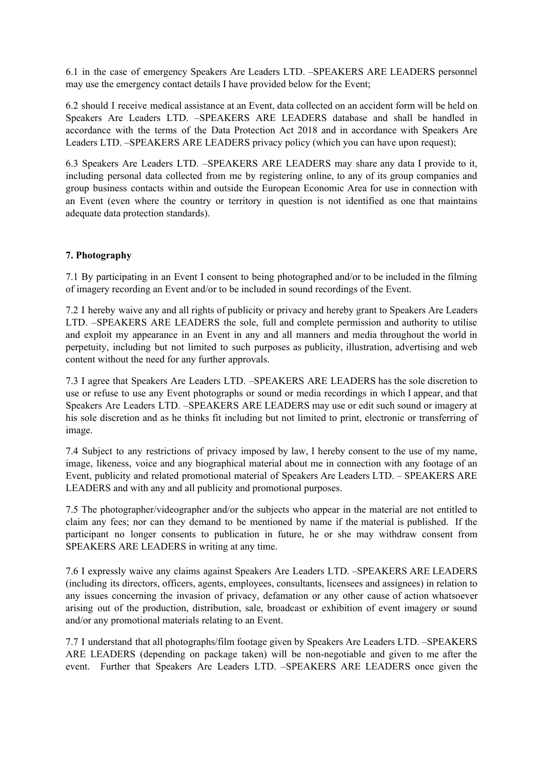6.1 in the case of emergency Speakers Are Leaders LTD. –SPEAKERS ARE LEADERS personnel may use the emergency contact details I have provided below for the Event;

6.2 should I receive medical assistance at an Event, data collected on an accident form will be held on Speakers Are Leaders LTD. –SPEAKERS ARE LEADERS database and shall be handled in accordance with the terms of the Data Protection Act 2018 and in accordance with Speakers Are Leaders LTD. –SPEAKERS ARE LEADERS privacy policy (which you can have upon request);

6.3 Speakers Are Leaders LTD. –SPEAKERS ARE LEADERS may share any data I provide to it, including personal data collected from me by registering online, to any of its group companies and group business contacts within and outside the European Economic Area for use in connection with an Event (even where the country or territory in question is not identified as one that maintains adequate data protection standards).

# **7. Photography**

7.1 By participating in an Event I consent to being photographed and/or to be included in the filming of imagery recording an Event and/or to be included in sound recordings of the Event.

7.2 I hereby waive any and all rights of publicity or privacy and hereby grant to Speakers Are Leaders LTD. –SPEAKERS ARE LEADERS the sole, full and complete permission and authority to utilise and exploit my appearance in an Event in any and all manners and media throughout the world in perpetuity, including but not limited to such purposes as publicity, illustration, advertising and web content without the need for any further approvals.

7.3 I agree that Speakers Are Leaders LTD. –SPEAKERS ARE LEADERS has the sole discretion to use or refuse to use any Event photographs or sound or media recordings in which I appear, and that Speakers Are Leaders LTD. –SPEAKERS ARE LEADERS may use or edit such sound or imagery at his sole discretion and as he thinks fit including but not limited to print, electronic or transferring of image.

7.4 Subject to any restrictions of privacy imposed by law, I hereby consent to the use of my name, image, likeness, voice and any biographical material about me in connection with any footage of an Event, publicity and related promotional material of Speakers Are Leaders LTD. – SPEAKERS ARE LEADERS and with any and all publicity and promotional purposes.

7.5 The photographer/videographer and/or the subjects who appear in the material are not entitled to claim any fees; nor can they demand to be mentioned by name if the material is published. If the participant no longer consents to publication in future, he or she may withdraw consent from SPEAKERS ARE LEADERS in writing at any time.

7.6 I expressly waive any claims against Speakers Are Leaders LTD. –SPEAKERS ARE LEADERS (including its directors, officers, agents, employees, consultants, licensees and assignees) in relation to any issues concerning the invasion of privacy, defamation or any other cause of action whatsoever arising out of the production, distribution, sale, broadcast or exhibition of event imagery or sound and/or any promotional materials relating to an Event.

7.7 I understand that all photographs/film footage given by Speakers Are Leaders LTD. –SPEAKERS ARE LEADERS (depending on package taken) will be non-negotiable and given to me after the event. Further that Speakers Are Leaders LTD. –SPEAKERS ARE LEADERS once given the